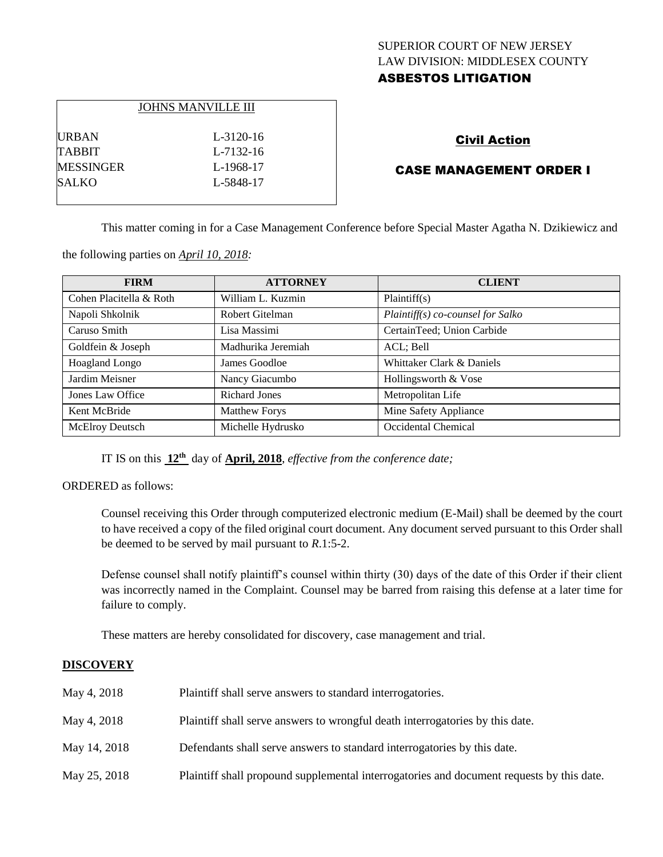# SUPERIOR COURT OF NEW JERSEY LAW DIVISION: MIDDLESEX COUNTY ASBESTOS LITIGATION

|                  | <b>JOHNS MANVILLE III</b> |
|------------------|---------------------------|
| <b>URBAN</b>     | L-3120-16                 |
| <b>TABBIT</b>    | L-7132-16                 |
| <b>MESSINGER</b> | L-1968-17                 |
| <b>SALKO</b>     | L-5848-17                 |
|                  |                           |

# Civil Action

# CASE MANAGEMENT ORDER I

This matter coming in for a Case Management Conference before Special Master Agatha N. Dzikiewicz and

the following parties on *April 10, 2018:*

| <b>FIRM</b>             | <b>ATTORNEY</b>      | <b>CLIENT</b>                     |
|-------------------------|----------------------|-----------------------------------|
| Cohen Placitella & Roth | William L. Kuzmin    | Plaintiff(s)                      |
| Napoli Shkolnik         | Robert Gitelman      | Plaintiff(s) co-counsel for Salko |
| Caruso Smith            | Lisa Massimi         | CertainTeed; Union Carbide        |
| Goldfein & Joseph       | Madhurika Jeremiah   | ACL; Bell                         |
| <b>Hoagland Longo</b>   | James Goodloe        | Whittaker Clark & Daniels         |
| Jardim Meisner          | Nancy Giacumbo       | Hollingsworth & Vose              |
| Jones Law Office        | <b>Richard Jones</b> | Metropolitan Life                 |
| Kent McBride            | <b>Matthew Forys</b> | Mine Safety Appliance             |
| McElroy Deutsch         | Michelle Hydrusko    | Occidental Chemical               |

IT IS on this **12th** day of **April, 2018**, *effective from the conference date;*

ORDERED as follows:

Counsel receiving this Order through computerized electronic medium (E-Mail) shall be deemed by the court to have received a copy of the filed original court document. Any document served pursuant to this Order shall be deemed to be served by mail pursuant to *R*.1:5-2.

Defense counsel shall notify plaintiff's counsel within thirty (30) days of the date of this Order if their client was incorrectly named in the Complaint. Counsel may be barred from raising this defense at a later time for failure to comply.

These matters are hereby consolidated for discovery, case management and trial.

## **DISCOVERY**

| May 4, 2018  | Plaintiff shall serve answers to standard interrogatories.                                |
|--------------|-------------------------------------------------------------------------------------------|
| May 4, 2018  | Plaintiff shall serve answers to wrongful death interrogatories by this date.             |
| May 14, 2018 | Defendants shall serve answers to standard interrogatories by this date.                  |
| May 25, 2018 | Plaintiff shall propound supplemental interrogatories and document requests by this date. |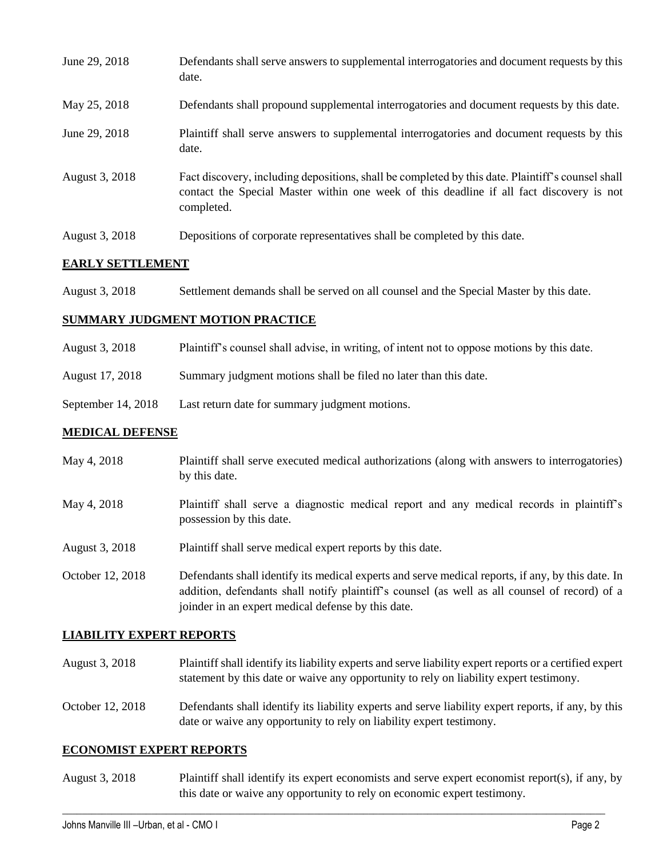| June 29, 2018  | Defendants shall serve answers to supplemental interrogatories and document requests by this<br>date.                                                                                                       |
|----------------|-------------------------------------------------------------------------------------------------------------------------------------------------------------------------------------------------------------|
| May 25, 2018   | Defendants shall propound supplemental interrogatories and document requests by this date.                                                                                                                  |
| June 29, 2018  | Plaintiff shall serve answers to supplemental interrogatories and document requests by this<br>date.                                                                                                        |
| August 3, 2018 | Fact discovery, including depositions, shall be completed by this date. Plaintiff's counsel shall<br>contact the Special Master within one week of this deadline if all fact discovery is not<br>completed. |
| August 3, 2018 | Depositions of corporate representatives shall be completed by this date.                                                                                                                                   |

### **EARLY SETTLEMENT**

| August 3, 2018 | Settlement demands shall be served on all counsel and the Special Master by this date. |  |  |
|----------------|----------------------------------------------------------------------------------------|--|--|
|----------------|----------------------------------------------------------------------------------------|--|--|

#### **SUMMARY JUDGMENT MOTION PRACTICE**

| August 3, 2018  | Plaintiff's counsel shall advise, in writing, of intent not to oppose motions by this date. |
|-----------------|---------------------------------------------------------------------------------------------|
| August 17, 2018 | Summary judgment motions shall be filed no later than this date.                            |

September 14, 2018 Last return date for summary judgment motions.

#### **MEDICAL DEFENSE**

| May 4, 2018 | Plaintiff shall serve executed medical authorizations (along with answers to interrogatories) |
|-------------|-----------------------------------------------------------------------------------------------|
|             | by this date.                                                                                 |

- May 4, 2018 Plaintiff shall serve a diagnostic medical report and any medical records in plaintiff's possession by this date.
- August 3, 2018 Plaintiff shall serve medical expert reports by this date.

October 12, 2018 Defendants shall identify its medical experts and serve medical reports, if any, by this date. In addition, defendants shall notify plaintiff's counsel (as well as all counsel of record) of a joinder in an expert medical defense by this date.

#### **LIABILITY EXPERT REPORTS**

- August 3, 2018 Plaintiff shall identify its liability experts and serve liability expert reports or a certified expert statement by this date or waive any opportunity to rely on liability expert testimony.
- October 12, 2018 Defendants shall identify its liability experts and serve liability expert reports, if any, by this date or waive any opportunity to rely on liability expert testimony.

#### **ECONOMIST EXPERT REPORTS**

August 3, 2018 Plaintiff shall identify its expert economists and serve expert economist report(s), if any, by this date or waive any opportunity to rely on economic expert testimony.

 $\_$  ,  $\_$  ,  $\_$  ,  $\_$  ,  $\_$  ,  $\_$  ,  $\_$  ,  $\_$  ,  $\_$  ,  $\_$  ,  $\_$  ,  $\_$  ,  $\_$  ,  $\_$  ,  $\_$  ,  $\_$  ,  $\_$  ,  $\_$  ,  $\_$  ,  $\_$  ,  $\_$  ,  $\_$  ,  $\_$  ,  $\_$  ,  $\_$  ,  $\_$  ,  $\_$  ,  $\_$  ,  $\_$  ,  $\_$  ,  $\_$  ,  $\_$  ,  $\_$  ,  $\_$  ,  $\_$  ,  $\_$  ,  $\_$  ,